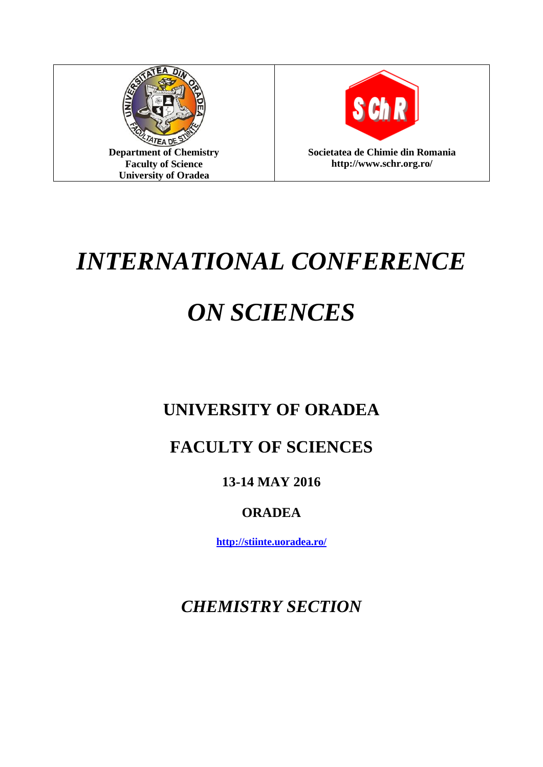



**http://www.schr.org.ro/**

# *INTERNATIONAL CONFERENCE*

# *ON SCIENCES*

## **UNIVERSITY OF ORADEA**

## **FACULTY OF SCIENCES**

### **13-14 MAY 2016**

### **ORADEA**

**<http://stiinte.uoradea.ro/>**

*CHEMISTRY SECTION*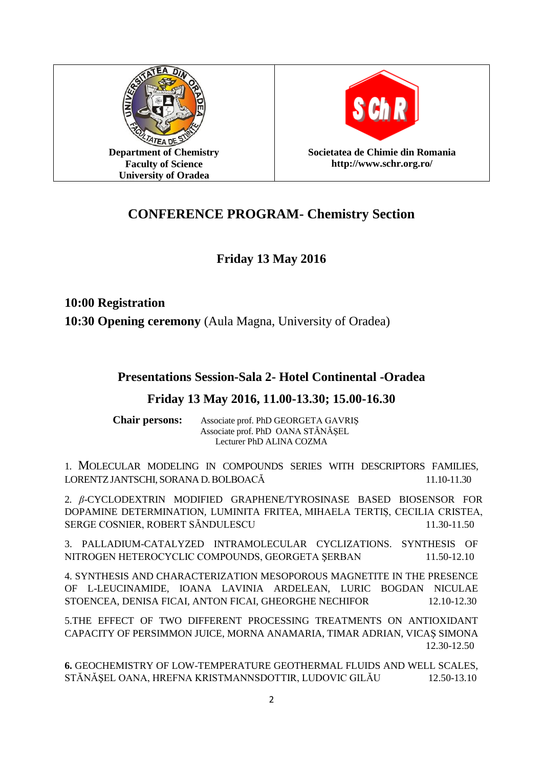



**Societatea de Chimie din Romania http://www.schr.org.ro/**

#### **CONFERENCE PROGRAM- Chemistry Section**

#### **Friday 13 May 2016**

**10:00 Registration 10:30 Opening ceremony** (Aula Magna, University of Oradea)

#### **Presentations Session-Sala 2- Hotel Continental -Oradea**

#### **Friday 13 May 2016, 11.00-13.30; 15.00-16.30**

**Chair persons:** Associate prof. PhD GEORGETA GAVRIŞ Associate prof. PhD OANA STĂNĂŞEL Lecturer PhD ALINA COZMA

1. MOLECULAR MODELING IN COMPOUNDS SERIES WITH DESCRIPTORS FAMILIES, LORENTZJANTSCHI, SORANA D.BOLBOACĂ 11.10-11.30

2. *β*-CYCLODEXTRIN MODIFIED GRAPHENE/TYROSINASE BASED BIOSENSOR FOR DOPAMINE DETERMINATION, LUMINITA FRITEA, MIHAELA TERTIȘ, CECILIA CRISTEA, SERGE COSNIER, ROBERT SĂNDULESCU 11.30-11.50

3. PALLADIUM-CATALYZED INTRAMOLECULAR CYCLIZATIONS. SYNTHESIS OF NITROGEN HETEROCYCLIC COMPOUNDS, GEORGETA ŞERBAN 11.50-12.10

4. SYNTHESIS AND CHARACTERIZATION MESOPOROUS MAGNETITE IN THE PRESENCE OF L-LEUCINAMIDE, IOANA LAVINIA ARDELEAN, LURIC BOGDAN NICULAE STOENCEA, DENISA FICAI, ANTON FICAI, GHEORGHE NECHIFOR 12.10-12.30

5.THE EFFECT OF TWO DIFFERENT PROCESSING TREATMENTS ON ANTIOXIDANT CAPACITY OF PERSIMMON JUICE, MORNA ANAMARIA, TIMAR ADRIAN, VICAŞ SIMONA 12.30-12.50

**6.** GEOCHEMISTRY OF LOW-TEMPERATURE GEOTHERMAL FLUIDS AND WELL SCALES, STĂNĂŞEL OANA, HREFNA KRISTMANNSDOTTIR, LUDOVIC GILĂU 12.50-13.10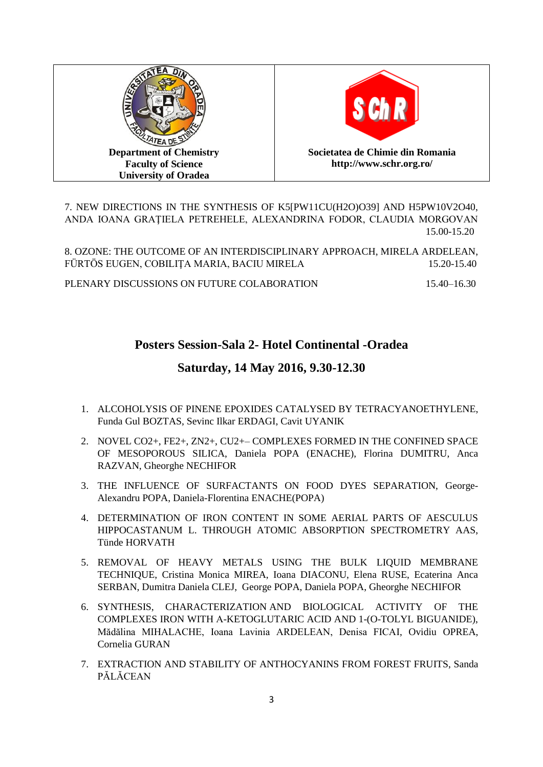



7. NEW DIRECTIONS IN THE SYNTHESIS OF K5[PW11CU(H2O)O39] AND H5PW10V2O40, ANDA IOANA GRAŢIELA PETREHELE, ALEXANDRINA FODOR, CLAUDIA MORGOVAN 15.00-15.20

8. OZONE: THE OUTCOME OF AN INTERDISCIPLINARY APPROACH, MIRELA ARDELEAN, FÜRTÖS EUGEN, COBILIŢA MARIA, BACIU MIRELA 15.20-15.40

PLENARY DISCUSSIONS ON FUTURE COLABORATION 15.40–16.30

#### **Posters Session-Sala 2- Hotel Continental -Oradea**

#### **Saturday, 14 May 2016, 9.30-12.30**

- 1. ALCOHOLYSIS OF PINENE EPOXIDES CATALYSED BY TETRACYANOETHYLENE, Funda Gul BOZTAS, Sevinc Ilkar ERDAGI, Cavit UYANIK
- 2. NOVEL CO2+, FE2+, ZN2+, CU2+– COMPLEXES FORMED IN THE CONFINED SPACE OF MESOPOROUS SILICA, Daniela POPA (ENACHE), Florina DUMITRU, Anca RAZVAN, Gheorghe NECHIFOR
- 3. THE INFLUENCE OF SURFACTANTS ON FOOD DYES SEPARATION, George-Alexandru POPA, Daniela-Florentina ENACHE(POPA)
- 4. DETERMINATION OF IRON CONTENT IN SOME AERIAL PARTS OF AESCULUS HIPPOCASTANUM L. THROUGH ATOMIC ABSORPTION SPECTROMETRY AAS, Tünde HORVATH
- 5. REMOVAL OF HEAVY METALS USING THE BULK LIQUID MEMBRANE TECHNIQUE, Cristina Monica MIREA, Ioana DIACONU, Elena RUSE, Ecaterina Anca SERBAN, Dumitra Daniela CLEJ, George POPA, Daniela POPA, Gheorghe NECHIFOR
- 6. SYNTHESIS, CHARACTERIZATION AND BIOLOGICAL ACTIVITY OF THE COMPLEXES IRON WITH Α-KETOGLUTARIC ACID AND 1-(O-TOLYL BIGUANIDE), Mădălina MIHALACHE, Ioana Lavinia ARDELEAN, Denisa FICAI, Ovidiu OPREA, Cornelia GURAN
- 7. EXTRACTION AND STABILITY OF ANTHOCYANINS FROM FOREST FRUITS, Sanda PĂLĂCEAN